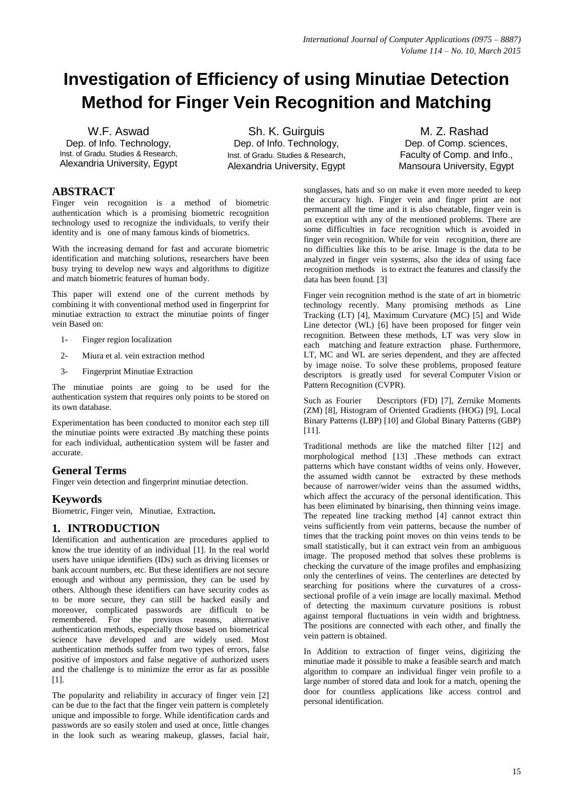# **Investigation of Efficiency of using Minutiae Detection Method for Finger Vein Recognition and Matching**

W.F. Aswad Dep. of Info. Technology, Inst. of Gradu. Studies & Research, Alexandria University, Egypt

Sh. K. Guirguis Dep. of Info. Technology, Inst. of Gradu. Studies & Research, Alexandria University, Egypt

M. Z. Rashad Dep. of Comp. sciences, Faculty of Comp. and Info., Mansoura University, Egypt

# **ABSTRACT**

Finger vein recognition is a method of biometric authentication which is a promising biometric recognition technology used to recognize the individuals, to verify their identity and is one of many famous kinds of biometrics.

With the increasing demand for fast and accurate biometric identification and matching solutions, researchers have been busy trying to develop new ways and algorithms to digitize and match biometric features of human body.

This paper will extend one of the current methods by combining it with conventional method used in fingerprint for minutiae extraction to extract the minutiae points of finger vein Based on:

- 1- Finger region localization
- 2- Miura et al. vein extraction method
- 3- Fingerprint Minutiae Extraction

The minutiae points are going to be used for the authentication system that requires only points to be stored on its own database.

Experimentation has been conducted to monitor each step till the minutiae points were extracted .By matching these points for each individual, authentication system will be faster and accurate.

## **General Terms**

Finger vein detection and fingerprint minutiae detection.

# **Keywords**

Biometric, Finger vein, Minutiae, Extraction**.**

## **1. INTRODUCTION**

Identification and authentication are procedures applied to know the true identity of an individual [1]. In the real world users have unique identifiers (IDs) such as driving licenses or bank account numbers, etc. But these identifiers are not secure enough and without any permission, they can be used by others. Although these identifiers can have security codes as to be more secure, they can still be hacked easily and moreover, complicated passwords are difficult to be remembered. For the previous reasons, alternative authentication methods, especially those based on biometrical science have developed and are widely used. Most authentication methods suffer from two types of errors, false positive of impostors and false negative of authorized users and the challenge is to minimize the error as far as possible [1].

The popularity and reliability in accuracy of finger vein [2] can be due to the fact that the finger vein pattern is completely unique and impossible to forge. While identification cards and passwords are so easily stolen and used at once, little changes in the look such as wearing makeup, glasses, facial hair,

sunglasses, hats and so on make it even more needed to keep the accuracy high. Finger vein and finger print are not permanent all the time and it is also cheatable, finger vein is an exception with any of the mentioned problems. There are some difficulties in face recognition which is avoided in finger vein recognition. While for vein recognition, there are no difficulties like this to be arise. Image is the data to be analyzed in finger vein systems, also the idea of using face recognition methods is to extract the features and classify the data has been found. [3]

Finger vein recognition method is the state of art in biometric technology recently. Many promising methods as Line Tracking (LT) [4], Maximum Curvature (MC) [5] and Wide Line detector (WL) [6] have been proposed for finger vein recognition. Between these methods, LT was very slow in each matching and feature extraction phase. Furthermore, LT, MC and WL are series dependent, and they are affected by image noise. To solve these problems, proposed feature descriptors is greatly used for several Computer Vision or Pattern Recognition (CVPR).

Such as Fourier Descriptors (FD) [7], Zernike Moments (ZM) [8], Histogram of Oriented Gradients (HOG) [9], Local Binary Patterns (LBP) [10] and Global Binary Patterns (GBP) [11].

Traditional methods are like the matched filter [12] and morphological method [13] .These methods can extract patterns which have constant widths of veins only. However, the assumed width cannot be extracted by these methods because of narrower/wider veins than the assumed widths, which affect the accuracy of the personal identification. This has been eliminated by binarising, then thinning veins image. The repeated line tracking method [4] cannot extract thin veins sufficiently from vein patterns, because the number of times that the tracking point moves on thin veins tends to be small statistically, but it can extract vein from an ambiguous image. The proposed method that solves these problems is checking the curvature of the image profiles and emphasizing only the centerlines of veins. The centerlines are detected by searching for positions where the curvatures of a crosssectional profile of a vein image are locally maximal. Method of detecting the maximum curvature positions is robust against temporal fluctuations in vein width and brightness. The positions are connected with each other, and finally the vein pattern is obtained.

In Addition to extraction of finger veins, digitizing the minutiae made it possible to make a feasible search and match algorithm to compare an individual finger vein profile to a large number of stored data and look for a match, opening the door for countless applications like access control and personal identification.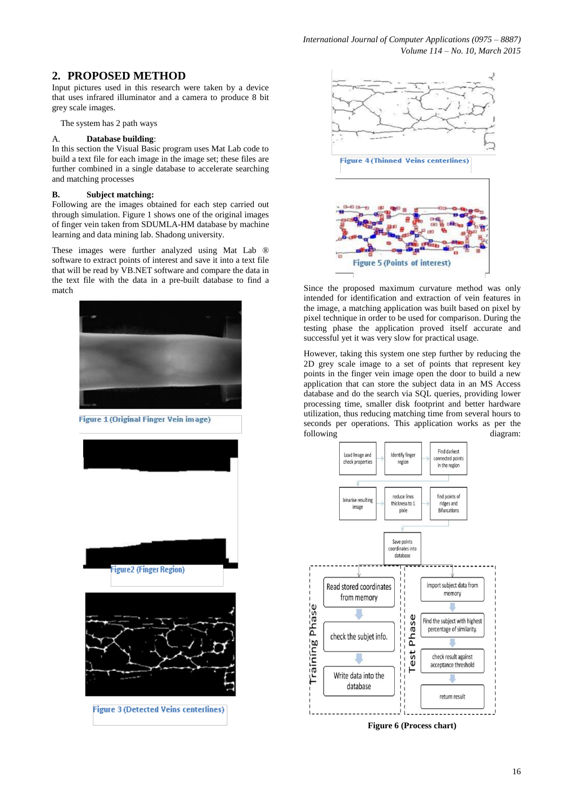# **2. PROPOSED METHOD**

Input pictures used in this research were taken by a device that uses infrared illuminator and a camera to produce 8 bit grey scale images.

The system has 2 path ways

#### A. **Database building**:

In this section the Visual Basic program uses Mat Lab code to build a text file for each image in the image set; these files are further combined in a single database to accelerate searching and matching processes

#### **B. Subject matching:**

Following are the images obtained for each step carried out through simulation. Figure 1 shows one of the original images of finger vein taken from SDUMLA-HM database by machine learning and data mining lab. Shadong university.

These images were further analyzed using Mat Lab ® software to extract points of interest and save it into a text file that will be read by VB.NET software and compare the data in the text file with the data in a pre-built database to find a match Since the proposed maximum curvature method was only



Figure 1 (Original Finger Vein image)





**Figure 3 (Detected Veins centerlines)** 



**Figure 4 (Thinned Veins centerlines)** 



intended for identification and extraction of vein features in the image, a matching application was built based on pixel by pixel technique in order to be used for comparison. During the testing phase the application proved itself accurate and successful yet it was very slow for practical usage.

However, taking this system one step further by reducing the 2D grey scale image to a set of points that represent key points in the finger vein image open the door to build a new application that can store the subject data in an MS Access database and do the search via SQL queries, providing lower processing time, smaller disk footprint and better hardware utilization, thus reducing matching time from several hours to seconds per operations. This application works as per the following diagram:

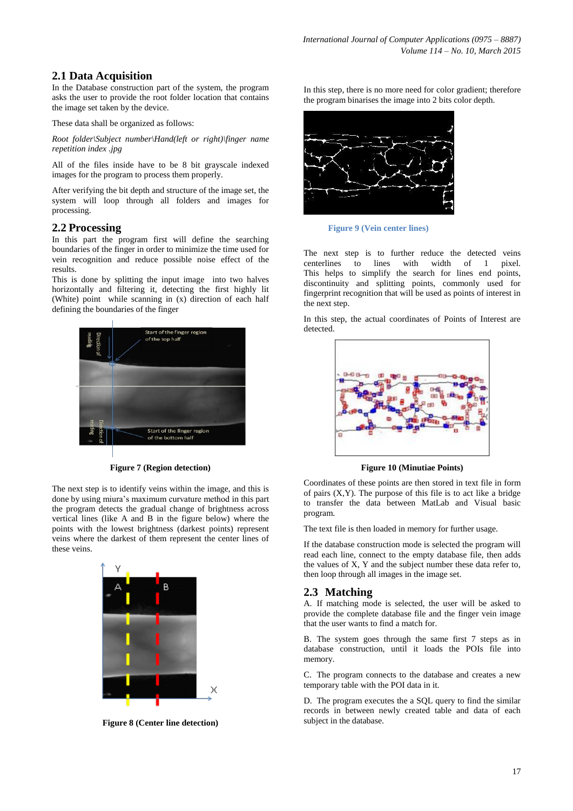# **2.1 Data Acquisition**

In the Database construction part of the system, the program asks the user to provide the root folder location that contains the image set taken by the device.

These data shall be organized as follows:

*Root folder\Subject number\Hand(left or right)\finger name repetition index .jpg*

All of the files inside have to be 8 bit grayscale indexed images for the program to process them properly.

After verifying the bit depth and structure of the image set, the system will loop through all folders and images for processing.

## **2.2 Processing**

In this part the program first will define the searching boundaries of the finger in order to minimize the time used for vein recognition and reduce possible noise effect of the results.

This is done by splitting the input image into two halves horizontally and filtering it, detecting the first highly lit (White) point while scanning in (x) direction of each half defining the boundaries of the finger



**Figure 7 (Region detection)**

The next step is to identify veins within the image, and this is done by using miura's maximum curvature method in this part the program detects the gradual change of brightness across vertical lines (like A and B in the figure below) where the points with the lowest brightness (darkest points) represent veins where the darkest of them represent the center lines of these veins.



**Figure 8 (Center line detection)**

In this step, there is no more need for color gradient; therefore the program binarises the image into 2 bits color depth.



**Figure 9 (Vein center lines)**

The next step is to further reduce the detected veins centerlines to lines with width of 1 pixel. This helps to simplify the search for lines end points, discontinuity and splitting points, commonly used for fingerprint recognition that will be used as points of interest in the next step.

In this step, the actual coordinates of Points of Interest are detected.



**Figure 10 (Minutiae Points)**

Coordinates of these points are then stored in text file in form of pairs  $(X, Y)$ . The purpose of this file is to act like a bridge to transfer the data between MatLab and Visual basic program.

The text file is then loaded in memory for further usage.

If the database construction mode is selected the program will read each line, connect to the empty database file, then adds the values of X, Y and the subject number these data refer to, then loop through all images in the image set.

## **2.3 Matching**

A. If matching mode is selected, the user will be asked to provide the complete database file and the finger vein image that the user wants to find a match for.

B. The system goes through the same first 7 steps as in database construction, until it loads the POIs file into memory.

C. The program connects to the database and creates a new temporary table with the POI data in it.

D. The program executes the a SQL query to find the similar records in between newly created table and data of each subject in the database.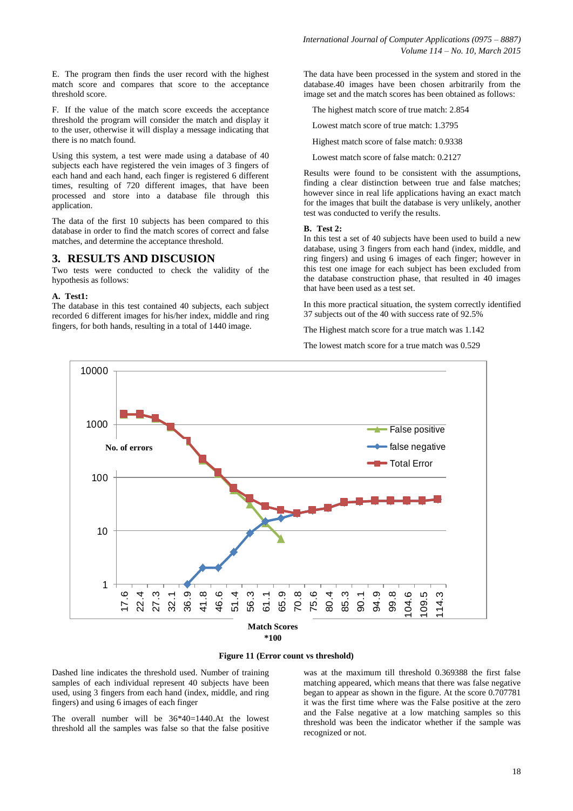E. The program then finds the user record with the highest match score and compares that score to the acceptance threshold score.

F. If the value of the match score exceeds the acceptance threshold the program will consider the match and display it to the user, otherwise it will display a message indicating that there is no match found.

Using this system, a test were made using a database of 40 subjects each have registered the vein images of 3 fingers of each hand and each hand, each finger is registered 6 different times, resulting of 720 different images, that have been processed and store into a database file through this application.

The data of the first 10 subjects has been compared to this database in order to find the match scores of correct and false matches, and determine the acceptance threshold.

#### **3. RESULTS AND DISCUSION**

Two tests were conducted to check the validity of the hypothesis as follows:

#### **A. Test1:**

The database in this test contained 40 subjects, each subject recorded 6 different images for his/her index, middle and ring fingers, for both hands, resulting in a total of 1440 image.

The data have been processed in the system and stored in the database.40 images have been chosen arbitrarily from the image set and the match scores has been obtained as follows:

The highest match score of true match: 2.854

Lowest match score of true match: 1.3795

Highest match score of false match: 0.9338

Lowest match score of false match: 0.2127

Results were found to be consistent with the assumptions, finding a clear distinction between true and false matches; however since in real life applications having an exact match for the images that built the database is very unlikely, another test was conducted to verify the results.

#### **B. Test 2:**

In this test a set of 40 subjects have been used to build a new database, using 3 fingers from each hand (index, middle, and ring fingers) and using 6 images of each finger; however in this test one image for each subject has been excluded from the database construction phase, that resulted in 40 images that have been used as a test set.

In this more practical situation, the system correctly identified 37 subjects out of the 40 with success rate of 92.5%

The Highest match score for a true match was 1.142

The lowest match score for a true match was 0.529



#### **Figure 11 (Error count vs threshold)**

Dashed line indicates the threshold used. Number of training samples of each individual represent 40 subjects have been used, using 3 fingers from each hand (index, middle, and ring fingers) and using 6 images of each finger

The overall number will be 36\*40=1440.At the lowest threshold all the samples was false so that the false positive was at the maximum till threshold 0.369388 the first false matching appeared, which means that there was false negative began to appear as shown in the figure. At the score 0.707781 it was the first time where was the False positive at the zero and the False negative at a low matching samples so this threshold was been the indicator whether if the sample was recognized or not.